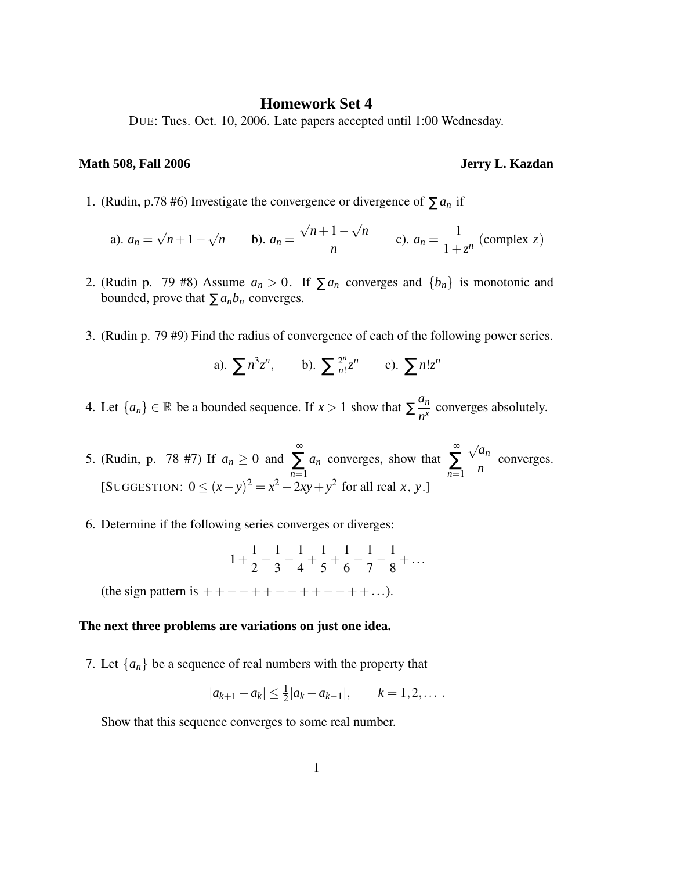## **Homework Set 4**

DUE: Tues. Oct. 10, 2006. Late papers accepted until 1:00 Wednesday.

## **Math 508, Fall 2006 Jerry L. Kazdan**

1. (Rudin, p.78 #6) Investigate the convergence or divergence of  $\sum a_n$  if

a). 
$$
a_n = \sqrt{n+1} - \sqrt{n}
$$
 b).  $a_n = \frac{\sqrt{n+1} - \sqrt{n}}{n}$  c).  $a_n = \frac{1}{1 + z^n}$  (complex z)

- 2. (Rudin p. 79 #8) Assume  $a_n > 0$ . If  $\sum a_n$  converges and  $\{b_n\}$  is monotonic and bounded, prove that  $\sum a_n b_n$  converges.
- 3. (Rudin p. 79 #9) Find the radius of convergence of each of the following power series.

a). 
$$
\sum n^3 z^n
$$
, b).  $\sum \frac{2^n}{n!} z^n$  c).  $\sum n! z^n$ 

- 4. Let  $\{a_n\} \in \mathbb{R}$  be a bounded sequence. If  $x > 1$  show that  $\sum_{n=1}^{\infty} \frac{a_n}{n^x}$  $\frac{\alpha_n}{n^x}$  converges absolutely.
- 5. (Rudin, p. 78 #7) If  $a_n \ge 0$  and ∞ ∑ *n*=1 *a<sup>n</sup>* converges, show that ∞ ∑ *n*=1  $\sqrt{a_n}$ *n* converges. [SUGGESTION:  $0 \le (x - y)^2 = x^2 - 2xy + y^2$  for all real *x*, *y*.]
- 6. Determine if the following series converges or diverges:

$$
1 + \frac{1}{2} - \frac{1}{3} - \frac{1}{4} + \frac{1}{5} + \frac{1}{6} - \frac{1}{7} - \frac{1}{8} + \dots
$$

(the sign pattern is  $++-+++--++-+++...$ ).

## **The next three problems are variations on just one idea.**

7. Let  $\{a_n\}$  be a sequence of real numbers with the property that

$$
|a_{k+1}-a_k| \leq \frac{1}{2}|a_k-a_{k-1}|, \qquad k=1,2,\ldots.
$$

Show that this sequence converges to some real number.